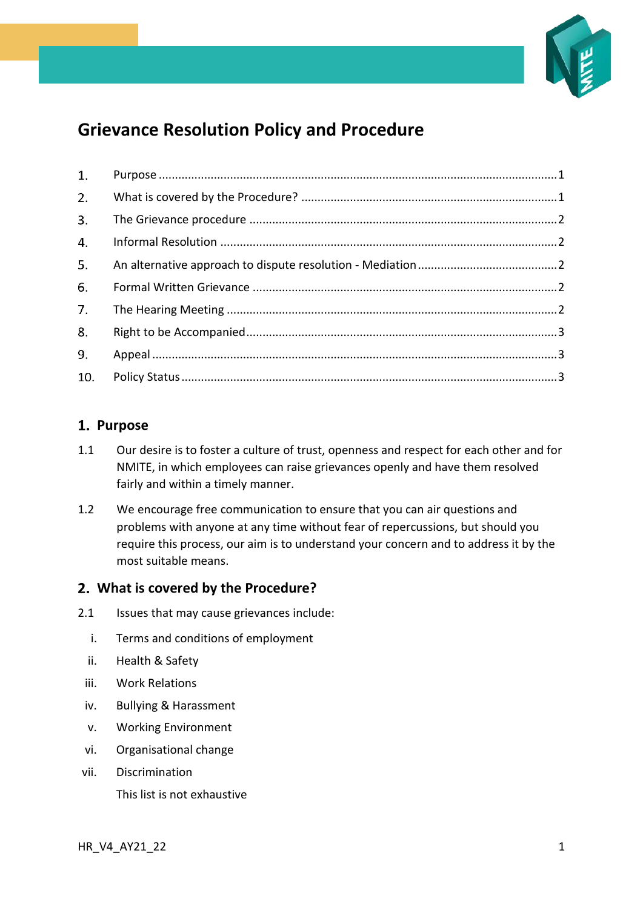

# **Grievance Resolution Policy and Procedure**

| 1. |  |
|----|--|
| 2. |  |
| 3. |  |
| 4. |  |
| 5. |  |
| 6. |  |
| 7. |  |
| 8. |  |
| 9. |  |
|    |  |

# <span id="page-0-0"></span>1. Purpose

- 1.1 Our desire is to foster a culture of trust, openness and respect for each other and for NMITE, in which employees can raise grievances openly and have them resolved fairly and within a timely manner.
- 1.2 We encourage free communication to ensure that you can air questions and problems with anyone at any time without fear of repercussions, but should you require this process, our aim is to understand your concern and to address it by the most suitable means.

### <span id="page-0-1"></span>**What is covered by the Procedure?**

- 2.1 Issues that may cause grievances include:
	- i. Terms and conditions of employment
	- ii. Health & Safety
	- iii. Work Relations
	- iv. Bullying & Harassment
	- v. Working Environment
	- vi. Organisational change
- vii. Discrimination This list is not exhaustive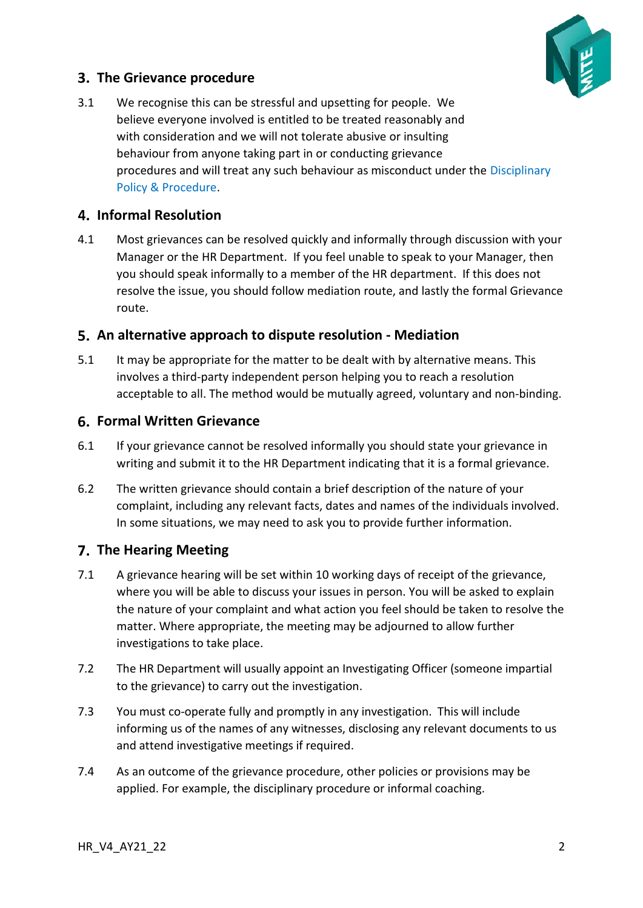

# <span id="page-1-0"></span>**The Grievance procedure**

3.1 We recognise this can be stressful and upsetting for people. We believe everyone involved is entitled to be treated reasonably and with consideration and we will not tolerate abusive or insulting behaviour from anyone taking part in or conducting grievance procedures and will treat any such behaviour as misconduct under the Disciplinary Policy & Procedure.

# <span id="page-1-1"></span>**Informal Resolution**

4.1 Most grievances can be resolved quickly and informally through discussion with your Manager or the HR Department. If you feel unable to speak to your Manager, then you should speak informally to a member of the HR department. If this does not resolve the issue, you should follow mediation route, and lastly the formal Grievance route.

### <span id="page-1-2"></span>**An alternative approach to dispute resolution - Mediation**

5.1 It may be appropriate for the matter to be dealt with by alternative means. This involves a third-party independent person helping you to reach a resolution acceptable to all. The method would be mutually agreed, voluntary and non-binding.

### <span id="page-1-3"></span>**Formal Written Grievance**

- 6.1 If your grievance cannot be resolved informally you should state your grievance in writing and submit it to the HR Department indicating that it is a formal grievance.
- 6.2 The written grievance should contain a brief description of the nature of your complaint, including any relevant facts, dates and names of the individuals involved. In some situations, we may need to ask you to provide further information.

### <span id="page-1-4"></span>**The Hearing Meeting**

- 7.1 A grievance hearing will be set within 10 working days of receipt of the grievance, where you will be able to discuss your issues in person. You will be asked to explain the nature of your complaint and what action you feel should be taken to resolve the matter. Where appropriate, the meeting may be adjourned to allow further investigations to take place.
- 7.2 The HR Department will usually appoint an Investigating Officer (someone impartial to the grievance) to carry out the investigation.
- 7.3 You must co-operate fully and promptly in any investigation. This will include informing us of the names of any witnesses, disclosing any relevant documents to us and attend investigative meetings if required.
- 7.4 As an outcome of the grievance procedure, other policies or provisions may be applied. For example, the disciplinary procedure or informal coaching.